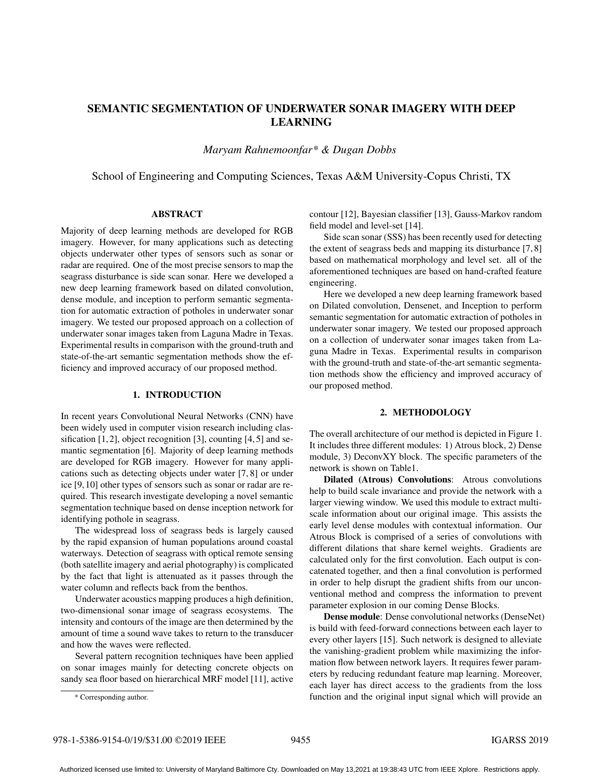# SEMANTIC SEGMENTATION OF UNDERWATER SONAR IMAGERY WITH DEEP LEARNING

*Maryam Rahnemoonfar\* & Dugan Dobbs*

School of Engineering and Computing Sciences, Texas A&M University-Copus Christi, TX

### ABSTRACT

Majority of deep learning methods are developed for RGB imagery. However, for many applications such as detecting objects underwater other types of sensors such as sonar or radar are required. One of the most precise sensors to map the seagrass disturbance is side scan sonar. Here we developed a new deep learning framework based on dilated convolution, dense module, and inception to perform semantic segmentation for automatic extraction of potholes in underwater sonar imagery. We tested our proposed approach on a collection of underwater sonar images taken from Laguna Madre in Texas. Experimental results in comparison with the ground-truth and state-of-the-art semantic segmentation methods show the efficiency and improved accuracy of our proposed method.

# 1. INTRODUCTION

In recent years Convolutional Neural Networks (CNN) have been widely used in computer vision research including classification [1, 2], object recognition [3], counting [4, 5] and semantic segmentation [6]. Majority of deep learning methods are developed for RGB imagery. However for many applications such as detecting objects under water [7, 8] or under ice [9, 10] other types of sensors such as sonar or radar are required. This research investigate developing a novel semantic segmentation technique based on dense inception network for identifying pothole in seagrass.

The widespread loss of seagrass beds is largely caused by the rapid expansion of human populations around coastal waterways. Detection of seagrass with optical remote sensing (both satellite imagery and aerial photography) is complicated by the fact that light is attenuated as it passes through the water column and reflects back from the benthos.

Underwater acoustics mapping produces a high definition, two-dimensional sonar image of seagrass ecosystems. The intensity and contours of the image are then determined by the amount of time a sound wave takes to return to the transducer and how the waves were reflected.

Several pattern recognition techniques have been applied on sonar images mainly for detecting concrete objects on sandy sea floor based on hierarchical MRF model [11], active

Side scan sonar (SSS) has been recently used for detecting the extent of seagrass beds and mapping its disturbance [7, 8] based on mathematical morphology and level set. all of the aforementioned techniques are based on hand-crafted feature engineering.

Here we developed a new deep learning framework based on Dilated convolution, Densenet, and Inception to perform semantic segmentation for automatic extraction of potholes in underwater sonar imagery. We tested our proposed approach on a collection of underwater sonar images taken from Laguna Madre in Texas. Experimental results in comparison with the ground-truth and state-of-the-art semantic segmentation methods show the efficiency and improved accuracy of our proposed method.

#### 2. METHODOLOGY

The overall architecture of our method is depicted in Figure 1. It includes three different modules: 1) Atrous block, 2) Dense module, 3) DeconvXY block. The specific parameters of the network is shown on Table1.

Dilated (Atrous) Convolutions: Atrous convolutions help to build scale invariance and provide the network with a larger viewing window. We used this module to extract multiscale information about our original image. This assists the early level dense modules with contextual information. Our Atrous Block is comprised of a series of convolutions with different dilations that share kernel weights. Gradients are calculated only for the first convolution. Each output is concatenated together, and then a final convolution is performed in order to help disrupt the gradient shifts from our unconventional method and compress the information to prevent parameter explosion in our coming Dense Blocks.

Dense module: Dense convolutional networks (DenseNet) is build with feed-forward connections between each layer to every other layers [15]. Such network is designed to alleviate the vanishing-gradient problem while maximizing the information flow between network layers. It requires fewer parameters by reducing redundant feature map learning. Moreover, each layer has direct access to the gradients from the loss function and the original input signal which will provide an

contour [12], Bayesian classifier [13], Gauss-Markov random field model and level-set [14].

<sup>\*</sup> Corresponding author.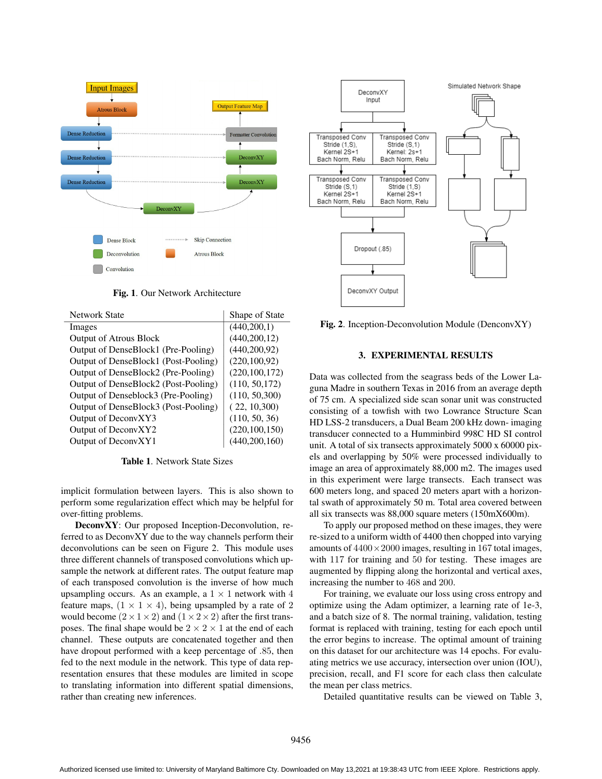

Fig. 1. Our Network Architecture

| <b>Network State</b>                 | Shape of State  |
|--------------------------------------|-----------------|
| Images                               | (440, 200, 1)   |
| <b>Output of Atrous Block</b>        | (440, 200, 12)  |
| Output of DenseBlock1 (Pre-Pooling)  | (440, 200, 92)  |
| Output of DenseBlock1 (Post-Pooling) | (220, 100, 92)  |
| Output of DenseBlock2 (Pre-Pooling)  | (220, 100, 172) |
| Output of DenseBlock2 (Post-Pooling) | (110, 50, 172)  |
| Output of Denseblock3 (Pre-Pooling)  | (110, 50, 300)  |
| Output of DenseBlock3 (Post-Pooling) | (22, 10, 300)   |
| Output of DeconvXY3                  | (110, 50, 36)   |
| Output of DeconvXY2                  | (220, 100, 150) |
| Output of DeconvXY1                  | (440, 200, 160) |

Table 1. Network State Sizes

implicit formulation between layers. This is also shown to perform some regularization effect which may be helpful for over-fitting problems.

DeconvXY: Our proposed Inception-Deconvolution, referred to as DeconvXY due to the way channels perform their deconvolutions can be seen on Figure 2. This module uses three different channels of transposed convolutions which upsample the network at different rates. The output feature map of each transposed convolution is the inverse of how much upsampling occurs. As an example, a  $1 \times 1$  network with 4 feature maps,  $(1 \times 1 \times 4)$ , being upsampled by a rate of 2 would become  $(2 \times 1 \times 2)$  and  $(1 \times 2 \times 2)$  after the first transposes. The final shape would be  $2 \times 2 \times 1$  at the end of each channel. These outputs are concatenated together and then have dropout performed with a keep percentage of .85, then fed to the next module in the network. This type of data representation ensures that these modules are limited in scope to translating information into different spatial dimensions, rather than creating new inferences.



Fig. 2. Inception-Deconvolution Module (DenconvXY)

#### 3. EXPERIMENTAL RESULTS

Data was collected from the seagrass beds of the Lower Laguna Madre in southern Texas in 2016 from an average depth of 75 cm. A specialized side scan sonar unit was constructed consisting of a towfish with two Lowrance Structure Scan HD LSS-2 transducers, a Dual Beam 200 kHz down- imaging transducer connected to a Humminbird 998C HD SI control unit. A total of six transects approximately 5000 x 60000 pixels and overlapping by 50% were processed individually to image an area of approximately 88,000 m2. The images used in this experiment were large transects. Each transect was 600 meters long, and spaced 20 meters apart with a horizontal swath of approximately 50 m. Total area covered between all six transects was 88,000 square meters (150mX600m).

To apply our proposed method on these images, they were re-sized to a uniform width of 4400 then chopped into varying amounts of  $4400 \times 2000$  images, resulting in 167 total images, with 117 for training and 50 for testing. These images are augmented by flipping along the horizontal and vertical axes, increasing the number to 468 and 200.

For training, we evaluate our loss using cross entropy and optimize using the Adam optimizer, a learning rate of 1e-3, and a batch size of 8. The normal training, validation, testing format is replaced with training, testing for each epoch until the error begins to increase. The optimal amount of training on this dataset for our architecture was 14 epochs. For evaluating metrics we use accuracy, intersection over union (IOU), precision, recall, and F1 score for each class then calculate the mean per class metrics.

Detailed quantitative results can be viewed on Table 3,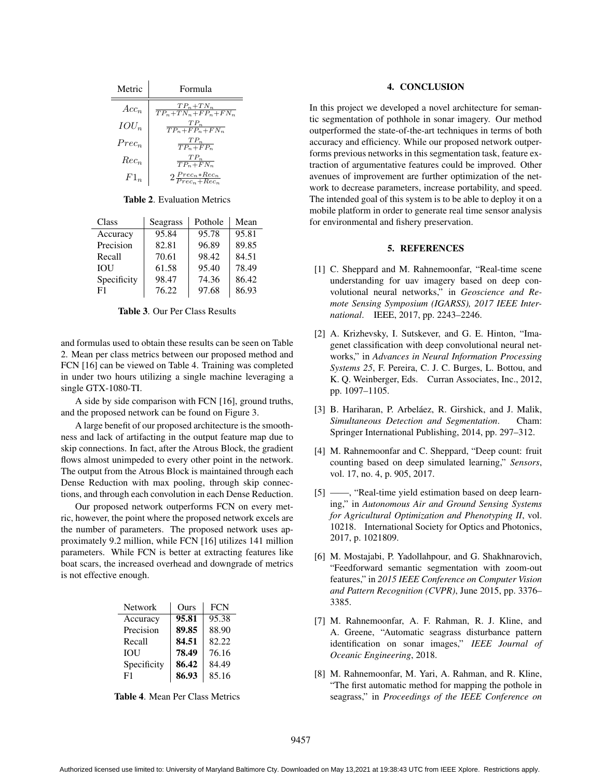| Metric   | Formula                                  |  |
|----------|------------------------------------------|--|
| $Acc_n$  | $\frac{TP_n+TN_n}{TP_n+TN_n+FP_n+FN_n}$  |  |
| $IOU_n$  | $\frac{TP_n}{TP_n+FP_n+FN_n}$            |  |
| $Prec_n$ | $\frac{TP_n}{TP_n+FP_n}$                 |  |
| $Rec_n$  | $\frac{TP_n}{TP_n+FN_n}$                 |  |
| $F1_n$   | $2\frac{Prec_n * Rec_n}{Prec_n + Rec_n}$ |  |

Table 2. Evaluation Metrics

| Class       | Seagrass | Pothole | Mean  |
|-------------|----------|---------|-------|
| Accuracy    | 95.84    | 95.78   | 95.81 |
| Precision   | 82.81    | 96.89   | 89.85 |
| Recall      | 70.61    | 98.42   | 84.51 |
| <b>IOU</b>  | 61.58    | 95.40   | 78.49 |
| Specificity | 98.47    | 74.36   | 86.42 |
| F1          | 76.22    | 97.68   | 86.93 |

Table 3. Our Per Class Results

and formulas used to obtain these results can be seen on Table 2. Mean per class metrics between our proposed method and FCN [16] can be viewed on Table 4. Training was completed in under two hours utilizing a single machine leveraging a single GTX-1080-TI.

A side by side comparison with FCN [16], ground truths, and the proposed network can be found on Figure 3.

A large benefit of our proposed architecture is the smoothness and lack of artifacting in the output feature map due to skip connections. In fact, after the Atrous Block, the gradient flows almost unimpeded to every other point in the network. The output from the Atrous Block is maintained through each Dense Reduction with max pooling, through skip connections, and through each convolution in each Dense Reduction.

Our proposed network outperforms FCN on every metric, however, the point where the proposed network excels are the number of parameters. The proposed network uses approximately 9.2 million, while FCN [16] utilizes 141 million parameters. While FCN is better at extracting features like boat scars, the increased overhead and downgrade of metrics is not effective enough.

| Network        | Ours  | <b>FCN</b> |
|----------------|-------|------------|
| Accuracy       | 95.81 | 95.38      |
| Precision      | 89.85 | 88.90      |
| Recall         | 84.51 | 82.22      |
| <b>IOU</b>     | 78.49 | 76.16      |
| Specificity    | 86.42 | 84.49      |
| F <sub>1</sub> | 86.93 | 85.16      |

Table 4. Mean Per Class Metrics

## 4. CONCLUSION

In this project we developed a novel architecture for semantic segmentation of pothhole in sonar imagery. Our method outperformed the state-of-the-art techniques in terms of both accuracy and efficiency. While our proposed network outperforms previous networks in this segmentation task, feature extraction of argumentative features could be improved. Other avenues of improvement are further optimization of the network to decrease parameters, increase portability, and speed. The intended goal of this system is to be able to deploy it on a mobile platform in order to generate real time sensor analysis for environmental and fishery preservation.

## 5. REFERENCES

- [1] C. Sheppard and M. Rahnemoonfar, "Real-time scene understanding for uav imagery based on deep convolutional neural networks," in *Geoscience and Remote Sensing Symposium (IGARSS), 2017 IEEE International*. IEEE, 2017, pp. 2243–2246.
- [2] A. Krizhevsky, I. Sutskever, and G. E. Hinton, "Imagenet classification with deep convolutional neural networks," in *Advances in Neural Information Processing Systems 25*, F. Pereira, C. J. C. Burges, L. Bottou, and K. Q. Weinberger, Eds. Curran Associates, Inc., 2012, pp. 1097–1105.
- [3] B. Hariharan, P. Arbeláez, R. Girshick, and J. Malik, *Simultaneous Detection and Segmentation*. Cham: Springer International Publishing, 2014, pp. 297–312.
- [4] M. Rahnemoonfar and C. Sheppard, "Deep count: fruit counting based on deep simulated learning," *Sensors*, vol. 17, no. 4, p. 905, 2017.
- [5] ——, "Real-time yield estimation based on deep learning," in *Autonomous Air and Ground Sensing Systems for Agricultural Optimization and Phenotyping II*, vol. 10218. International Society for Optics and Photonics, 2017, p. 1021809.
- [6] M. Mostajabi, P. Yadollahpour, and G. Shakhnarovich, "Feedforward semantic segmentation with zoom-out features," in *2015 IEEE Conference on Computer Vision and Pattern Recognition (CVPR)*, June 2015, pp. 3376– 3385.
- [7] M. Rahnemoonfar, A. F. Rahman, R. J. Kline, and A. Greene, "Automatic seagrass disturbance pattern identification on sonar images," *IEEE Journal of Oceanic Engineering*, 2018.
- [8] M. Rahnemoonfar, M. Yari, A. Rahman, and R. Kline, "The first automatic method for mapping the pothole in seagrass," in *Proceedings of the IEEE Conference on*